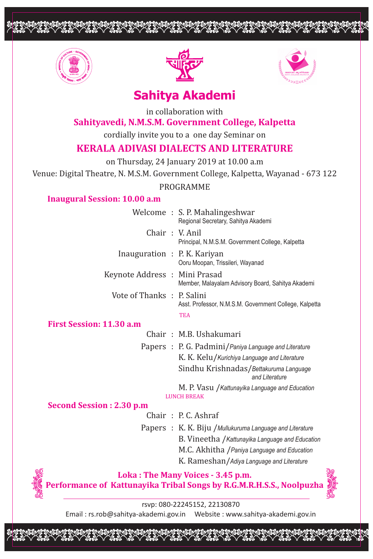



opopopopoppopopooppoppopooppop



# **Sahitya Akademi**

in collaboration with

## **Sahityavedi, N.M.S.M. Government College, Kalpetta**

cordially invite you to a one day Seminar on

## **KERALA ADIVASI DIALECTS AND LITERATURE**

on Thursday, 24 January 2019 at 10.00 a.m

Venue: Digital Theatre, N. M.S.M. Government College, Kalpetta, Wayanad - 673 122

PROGRAMME

## **Inaugural Session: 10.00 a.m**

|                               | Welcome: S. P. Mahalingeshwar<br>Regional Secretary, Sahitya Akademi |
|-------------------------------|----------------------------------------------------------------------|
|                               | Chair : V. Anil<br>Principal, N.M.S.M. Government College, Kalpetta  |
| Inauguration : P. K. Kariyan  | Ooru Moopan, Trissileri, Wayanad                                     |
| Keynote Address : Mini Prasad | Member, Malayalam Advisory Board, Sahitya Akademi                    |
| Vote of Thanks : P. Salini    | Asst. Professor, N.M.S.M. Government College, Kalpetta               |
|                               | <b>TEA</b>                                                           |

## **First Session: 11.30 a.m**

|  | Chair: M.B. Ushakumari                                |
|--|-------------------------------------------------------|
|  | Papers : P. G. Padmini/Paniya Language and Literature |
|  | K. K. Kelu / Kurichiya Language and Literature        |
|  | Sindhu Krishnadas/Bettakuruma Language                |
|  | and Literature                                        |
|  | M. P. Vasu / Kattunayika Language and Education       |
|  | <b>LUNCH BREAK</b>                                    |

## **Second Session : 2.30 p.m**

Chair : P. C. Ashraf

Papers : K. K. Biju /*Mullukuruma Language and Literature* B. Vineetha /*Kattunayika Language and Education* M.C. Akhitha /*Paniya Language and Education* K. Rameshan/*Adiya Language and Literature*



**Loka : The Many Voices - 3.45 p.m. Performance of Kattunayika Tribal Songs by R.G.M.R.H.S.S., Noolpuzha**



rsvp: 080-22245152, 22130870 Email : rs.rob@sahitya-akademi.gov.in Website : www.sahitya-akademi.gov.in

opopopopoppopopooppoppopopoopp